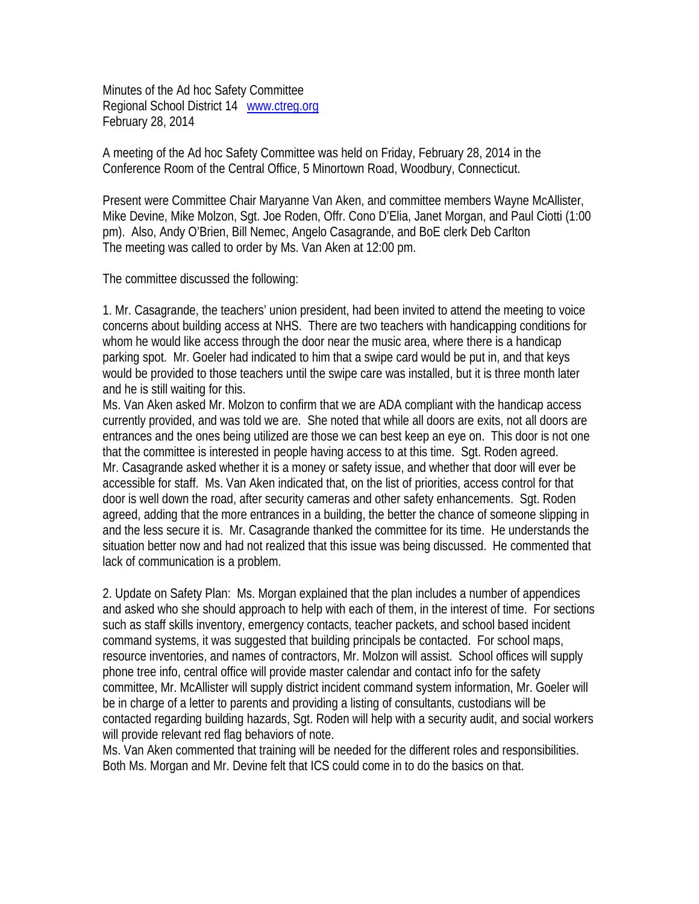Minutes of the Ad hoc Safety Committee Regional School District 14 www.ctreg.org February 28, 2014

A meeting of the Ad hoc Safety Committee was held on Friday, February 28, 2014 in the Conference Room of the Central Office, 5 Minortown Road, Woodbury, Connecticut.

Present were Committee Chair Maryanne Van Aken, and committee members Wayne McAllister, Mike Devine, Mike Molzon, Sgt. Joe Roden, Offr. Cono D'Elia, Janet Morgan, and Paul Ciotti (1:00 pm). Also, Andy O'Brien, Bill Nemec, Angelo Casagrande, and BoE clerk Deb Carlton The meeting was called to order by Ms. Van Aken at 12:00 pm.

The committee discussed the following:

1. Mr. Casagrande, the teachers' union president, had been invited to attend the meeting to voice concerns about building access at NHS. There are two teachers with handicapping conditions for whom he would like access through the door near the music area, where there is a handicap parking spot. Mr. Goeler had indicated to him that a swipe card would be put in, and that keys would be provided to those teachers until the swipe care was installed, but it is three month later and he is still waiting for this.

Ms. Van Aken asked Mr. Molzon to confirm that we are ADA compliant with the handicap access currently provided, and was told we are. She noted that while all doors are exits, not all doors are entrances and the ones being utilized are those we can best keep an eye on. This door is not one that the committee is interested in people having access to at this time. Sgt. Roden agreed. Mr. Casagrande asked whether it is a money or safety issue, and whether that door will ever be accessible for staff. Ms. Van Aken indicated that, on the list of priorities, access control for that door is well down the road, after security cameras and other safety enhancements. Sgt. Roden agreed, adding that the more entrances in a building, the better the chance of someone slipping in and the less secure it is. Mr. Casagrande thanked the committee for its time. He understands the situation better now and had not realized that this issue was being discussed. He commented that lack of communication is a problem.

2. Update on Safety Plan: Ms. Morgan explained that the plan includes a number of appendices and asked who she should approach to help with each of them, in the interest of time. For sections such as staff skills inventory, emergency contacts, teacher packets, and school based incident command systems, it was suggested that building principals be contacted. For school maps, resource inventories, and names of contractors, Mr. Molzon will assist. School offices will supply phone tree info, central office will provide master calendar and contact info for the safety committee, Mr. McAllister will supply district incident command system information, Mr. Goeler will be in charge of a letter to parents and providing a listing of consultants, custodians will be contacted regarding building hazards, Sgt. Roden will help with a security audit, and social workers will provide relevant red flag behaviors of note.

Ms. Van Aken commented that training will be needed for the different roles and responsibilities. Both Ms. Morgan and Mr. Devine felt that ICS could come in to do the basics on that.